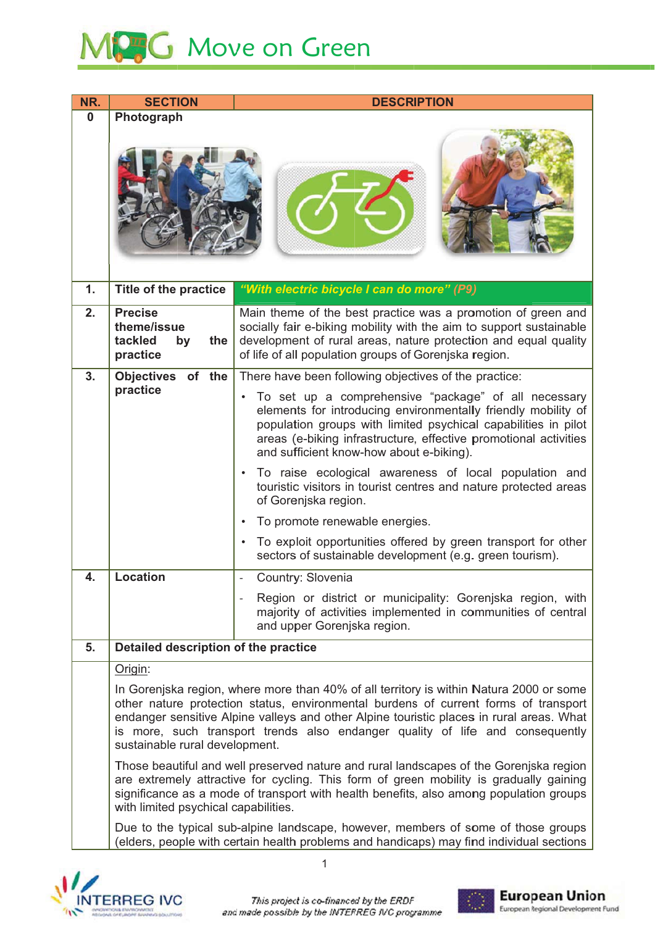

| NR.      | <b>SECTION</b>                                                                                                                                                                                                                                                                                                                                                                                | <b>DESCRIPTION</b>                                                                                                                                                                                                                                                                                                                                                                                                                                                                                                                                                                                                                                                              |  |
|----------|-----------------------------------------------------------------------------------------------------------------------------------------------------------------------------------------------------------------------------------------------------------------------------------------------------------------------------------------------------------------------------------------------|---------------------------------------------------------------------------------------------------------------------------------------------------------------------------------------------------------------------------------------------------------------------------------------------------------------------------------------------------------------------------------------------------------------------------------------------------------------------------------------------------------------------------------------------------------------------------------------------------------------------------------------------------------------------------------|--|
| $\bf{0}$ | Photograph                                                                                                                                                                                                                                                                                                                                                                                    |                                                                                                                                                                                                                                                                                                                                                                                                                                                                                                                                                                                                                                                                                 |  |
| 1.       | Title of the practice                                                                                                                                                                                                                                                                                                                                                                         | "With electric bicycle I can do more" (P9)                                                                                                                                                                                                                                                                                                                                                                                                                                                                                                                                                                                                                                      |  |
| 2.       | <b>Precise</b><br>theme/issue<br>tackled<br>by<br>the<br>practice                                                                                                                                                                                                                                                                                                                             | Main theme of the best practice was a promotion of green and<br>socially fair e-biking mobility with the aim to support sustainable<br>development of rural areas, nature protection and equal quality<br>of life of all population groups of Gorenjska region.                                                                                                                                                                                                                                                                                                                                                                                                                 |  |
| 3.       | Objectives of the                                                                                                                                                                                                                                                                                                                                                                             | There have been following objectives of the practice:                                                                                                                                                                                                                                                                                                                                                                                                                                                                                                                                                                                                                           |  |
|          | practice                                                                                                                                                                                                                                                                                                                                                                                      | To set up a comprehensive "package" of all necessary<br>$\bullet$<br>elements for introducing environmentally friendly mobility of<br>population groups with limited psychical capabilities in pilot<br>areas (e-biking infrastructure, effective promotional activities<br>and sufficient know-how about e-biking).<br>To raise ecological awareness of local population and<br>$\bullet$<br>touristic visitors in tourist centres and nature protected areas<br>of Gorenjska region.<br>To promote renewable energies.<br>$\bullet$<br>To exploit opportunities offered by green transport for other<br>$\bullet$<br>sectors of sustainable development (e.g. green tourism). |  |
| 4.       | <b>Location</b>                                                                                                                                                                                                                                                                                                                                                                               | Country: Slovenia                                                                                                                                                                                                                                                                                                                                                                                                                                                                                                                                                                                                                                                               |  |
|          |                                                                                                                                                                                                                                                                                                                                                                                               | Region or district or municipality: Gorenjska region, with<br>majority of activities implemented in communities of central<br>and upper Gorenjska region.                                                                                                                                                                                                                                                                                                                                                                                                                                                                                                                       |  |
| 5.       | Detailed description of the practice                                                                                                                                                                                                                                                                                                                                                          |                                                                                                                                                                                                                                                                                                                                                                                                                                                                                                                                                                                                                                                                                 |  |
|          | Origin:                                                                                                                                                                                                                                                                                                                                                                                       |                                                                                                                                                                                                                                                                                                                                                                                                                                                                                                                                                                                                                                                                                 |  |
|          | In Gorenjska region, where more than 40% of all territory is within Natura 2000 or some<br>other nature protection status, environmental burdens of current forms of transport<br>endanger sensitive Alpine valleys and other Alpine touristic places in rural areas. What<br>is more, such transport trends also endanger quality of life and consequently<br>sustainable rural development. |                                                                                                                                                                                                                                                                                                                                                                                                                                                                                                                                                                                                                                                                                 |  |
|          | Those beautiful and well preserved nature and rural landscapes of the Gorenjska region<br>are extremely attractive for cycling. This form of green mobility is gradually gaining<br>significance as a mode of transport with health benefits, also among population groups<br>with limited psychical capabilities.                                                                            |                                                                                                                                                                                                                                                                                                                                                                                                                                                                                                                                                                                                                                                                                 |  |
|          |                                                                                                                                                                                                                                                                                                                                                                                               | Due to the typical sub-alpine landscape, however, members of some of those groups<br>(elders, people with certain health problems and handicaps) may find individual sections                                                                                                                                                                                                                                                                                                                                                                                                                                                                                                   |  |





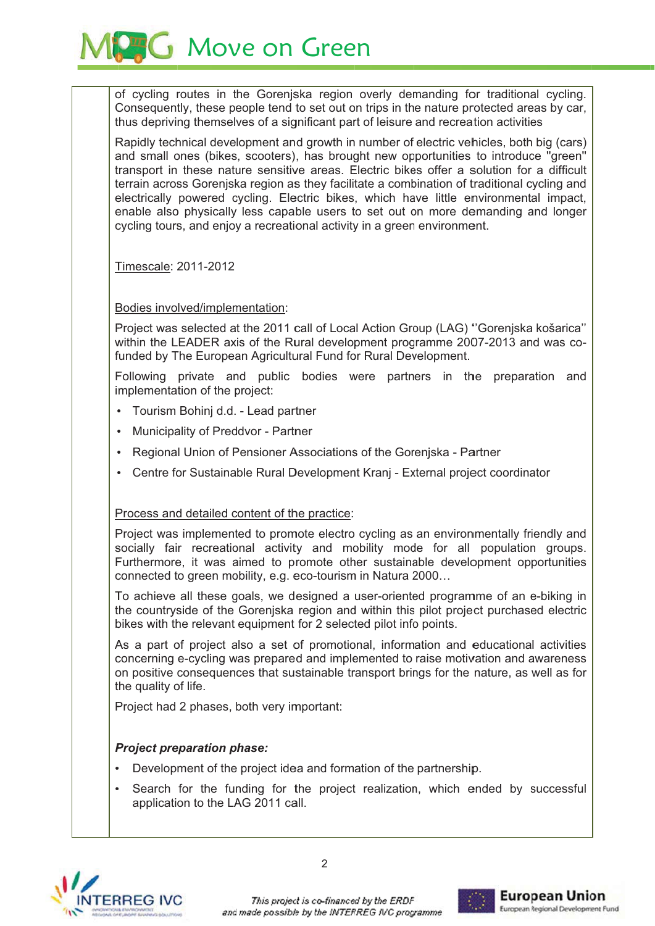**G** Move on Green

of cycling routes in the Gorenjska region overly demanding for traditional cycling. Consequently, these people tend to set out on trips in the nature protected areas by car, thus depriving themselves of a significant part of leisure and recreation activities

Rapidly technical development and growth in number of electric vehicles, both big (cars) and small ones (bikes, scooters), has brought new opportunities to introduce "green" transport in these nature sensitive areas. Electric bikes offer a solution for a difficult terrain across Gorenjska region as they facilitate a combination of traditional cycling and electrically powered cycling. Electric bikes, which have little environmental impact, enable also physically less capable users to set out on more demanding and longer cycling tours, and enjoy a recreational activity in a green environment.

Timescale: 2011-2012

Bodies involved/implementation:

Project was selected at the 2011 call of Local Action Group (LAG) "Gorenjska košarica" within the LEADER axis of the Rural development programme 2007-2013 and was cofunded by The European Agricultural Fund for Rural Development.

Following private and public bodies were partners in the preparation and implementation of the project:

- Tourism Bohinj d.d. Lead partner
- Municipality of Preddyor Partner
- Regional Union of Pensioner Associations of the Goreniska Partner
- Centre for Sustainable Rural Development Kranj External project coordinator

## Process and detailed content of the practice:

Project was implemented to promote electro cycling as an environmentally friendly and socially fair recreational activity and mobility mode for all population groups. Furthermore, it was aimed to promote other sustainable development opportunities connected to green mobility, e.g. eco-tourism in Natura 2000...

To achieve all these goals, we designed a user-oriented programme of an e-biking in the countryside of the Goreniska region and within this pilot project purchased electric bikes with the relevant equipment for 2 selected pilot info points.

As a part of project also a set of promotional, information and educational activities concerning e-cycling was prepared and implemented to raise motivation and awareness on positive consequences that sustainable transport brings for the nature, as well as for the quality of life.

Project had 2 phases, both very important:

## **Project preparation phase:**

- Development of the project idea and formation of the partnership.
- Search for the funding for the project realization, which ended by successful application to the LAG 2011 call.



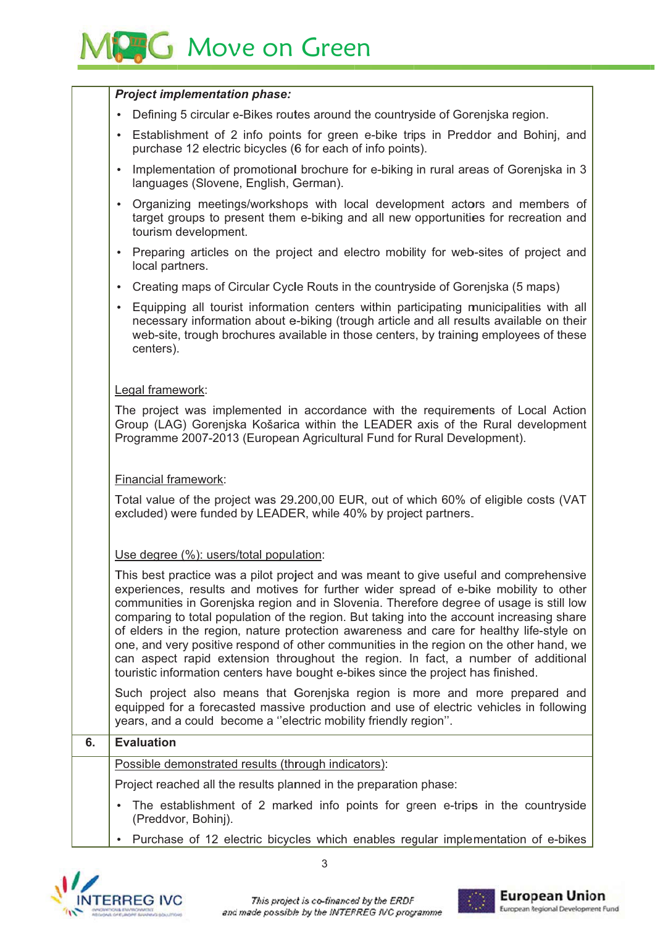## **MPC** Move on Green

|    | <b>Project implementation phase:</b>                                                                                                                                                                                                                                                                                                                                                                                                                                                                                                                                                                                                                                                                                                   |  |  |
|----|----------------------------------------------------------------------------------------------------------------------------------------------------------------------------------------------------------------------------------------------------------------------------------------------------------------------------------------------------------------------------------------------------------------------------------------------------------------------------------------------------------------------------------------------------------------------------------------------------------------------------------------------------------------------------------------------------------------------------------------|--|--|
|    | Defining 5 circular e-Bikes routes around the countryside of Gorenjska region.                                                                                                                                                                                                                                                                                                                                                                                                                                                                                                                                                                                                                                                         |  |  |
|    | Establishment of 2 info points for green e-bike trips in Preddor and Bohinj, and<br>purchase 12 electric bicycles (6 for each of info points).                                                                                                                                                                                                                                                                                                                                                                                                                                                                                                                                                                                         |  |  |
|    | Implementation of promotional brochure for e-biking in rural areas of Gorenjska in 3<br>$\bullet$<br>languages (Slovene, English, German).                                                                                                                                                                                                                                                                                                                                                                                                                                                                                                                                                                                             |  |  |
|    | Organizing meetings/workshops with local development actors and members of<br>$\bullet$<br>target groups to present them e-biking and all new opportunities for recreation and<br>tourism development.                                                                                                                                                                                                                                                                                                                                                                                                                                                                                                                                 |  |  |
|    | Preparing articles on the project and electro mobility for web-sites of project and<br>local partners.                                                                                                                                                                                                                                                                                                                                                                                                                                                                                                                                                                                                                                 |  |  |
|    | Creating maps of Circular Cycle Routs in the countryside of Gorenjska (5 maps)                                                                                                                                                                                                                                                                                                                                                                                                                                                                                                                                                                                                                                                         |  |  |
|    | Equipping all tourist information centers within participating municipalities with all<br>necessary information about e-biking (trough article and all results available on their<br>web-site, trough brochures available in those centers, by training employees of these<br>centers).                                                                                                                                                                                                                                                                                                                                                                                                                                                |  |  |
|    | Legal framework:                                                                                                                                                                                                                                                                                                                                                                                                                                                                                                                                                                                                                                                                                                                       |  |  |
|    | The project was implemented in accordance with the requirements of Local Action<br>Group (LAG) Gorenjska Košarica within the LEADER axis of the Rural development<br>Programme 2007-2013 (European Agricultural Fund for Rural Development).<br><b>Financial framework:</b><br>Total value of the project was 29.200,00 EUR, out of which 60% of eligible costs (VAT<br>excluded) were funded by LEADER, while 40% by project partners.                                                                                                                                                                                                                                                                                                |  |  |
|    |                                                                                                                                                                                                                                                                                                                                                                                                                                                                                                                                                                                                                                                                                                                                        |  |  |
|    |                                                                                                                                                                                                                                                                                                                                                                                                                                                                                                                                                                                                                                                                                                                                        |  |  |
|    | Use degree (%): users/total population:                                                                                                                                                                                                                                                                                                                                                                                                                                                                                                                                                                                                                                                                                                |  |  |
|    | This best practice was a pilot project and was meant to give useful and comprehensive<br>experiences, results and motives for further wider spread of e-bike mobility to other<br>communities in Gorenjska region and in Slovenia. Therefore degree of usage is still low<br>comparing to total population of the region. But taking into the account increasing share<br>of elders in the region, nature protection awareness and care for healthy life-style on<br>one, and very positive respond of other communities in the region on the other hand, we<br>can aspect rapid extension throughout the region. In fact, a number of additional<br>touristic information centers have bought e-bikes since the project has finished. |  |  |
|    | Such project also means that Gorenjska region is more and more prepared and<br>equipped for a forecasted massive production and use of electric vehicles in following<br>years, and a could become a "electric mobility friendly region".                                                                                                                                                                                                                                                                                                                                                                                                                                                                                              |  |  |
| 6. | <b>Evaluation</b>                                                                                                                                                                                                                                                                                                                                                                                                                                                                                                                                                                                                                                                                                                                      |  |  |
|    | Possible demonstrated results (through indicators):                                                                                                                                                                                                                                                                                                                                                                                                                                                                                                                                                                                                                                                                                    |  |  |
|    | Project reached all the results planned in the preparation phase:                                                                                                                                                                                                                                                                                                                                                                                                                                                                                                                                                                                                                                                                      |  |  |
|    | The establishment of 2 marked info points for green e-trips in the countryside<br>(Preddvor, Bohinj).                                                                                                                                                                                                                                                                                                                                                                                                                                                                                                                                                                                                                                  |  |  |
|    | Purchase of 12 electric bicycles which enables regular implementation of e-bikes                                                                                                                                                                                                                                                                                                                                                                                                                                                                                                                                                                                                                                                       |  |  |



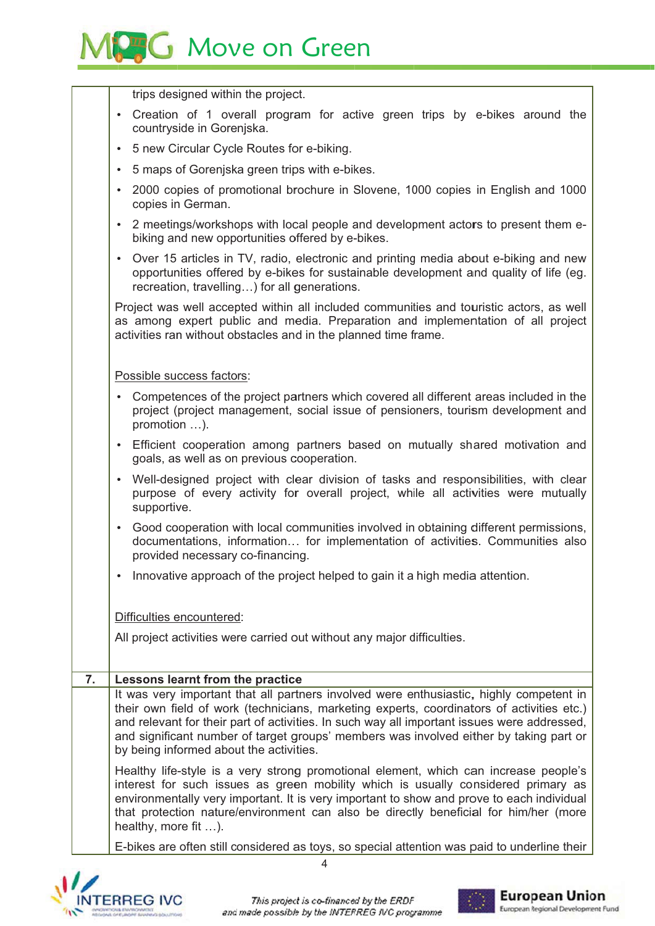

|    | trips designed within the project.                                                                                                                                                                                                                                                                                                                                                     |  |  |
|----|----------------------------------------------------------------------------------------------------------------------------------------------------------------------------------------------------------------------------------------------------------------------------------------------------------------------------------------------------------------------------------------|--|--|
|    | Creation of 1 overall program for active green trips by e-bikes around the<br>$\bullet$<br>countryside in Gorenjska.                                                                                                                                                                                                                                                                   |  |  |
|    | 5 new Circular Cycle Routes for e-biking.<br>$\bullet$                                                                                                                                                                                                                                                                                                                                 |  |  |
|    | 5 maps of Gorenjska green trips with e-bikes.<br>$\bullet$                                                                                                                                                                                                                                                                                                                             |  |  |
|    | 2000 copies of promotional brochure in Slovene, 1000 copies in English and 1000<br>$\bullet$<br>copies in German.                                                                                                                                                                                                                                                                      |  |  |
|    | 2 meetings/workshops with local people and development actors to present them e-<br>$\bullet$<br>biking and new opportunities offered by e-bikes.                                                                                                                                                                                                                                      |  |  |
|    | Over 15 articles in TV, radio, electronic and printing media about e-biking and new<br>$\bullet$<br>opportunities offered by e-bikes for sustainable development and quality of life (eg.<br>recreation, travelling) for all generations.                                                                                                                                              |  |  |
|    | Project was well accepted within all included communities and touristic actors, as well<br>as among expert public and media. Preparation and implementation of all project<br>activities ran without obstacles and in the planned time frame.                                                                                                                                          |  |  |
|    | Possible success factors:                                                                                                                                                                                                                                                                                                                                                              |  |  |
|    | Competences of the project partners which covered all different areas included in the<br>$\bullet$<br>project (project management, social issue of pensioners, tourism development and<br>promotion ).                                                                                                                                                                                 |  |  |
|    | Efficient cooperation among partners based on mutually shared motivation and<br>$\bullet$<br>goals, as well as on previous cooperation.                                                                                                                                                                                                                                                |  |  |
|    | Well-designed project with clear division of tasks and responsibilities, with clear<br>$\bullet$<br>purpose of every activity for overall project, while all activities were mutually<br>supportive.                                                                                                                                                                                   |  |  |
|    | Good cooperation with local communities involved in obtaining different permissions,<br>$\bullet$<br>documentations, information for implementation of activities. Communities also<br>provided necessary co-financing.                                                                                                                                                                |  |  |
|    | Innovative approach of the project helped to gain it a high media attention.<br>٠                                                                                                                                                                                                                                                                                                      |  |  |
|    | Difficulties encountered:                                                                                                                                                                                                                                                                                                                                                              |  |  |
|    | All project activities were carried out without any major difficulties.                                                                                                                                                                                                                                                                                                                |  |  |
|    |                                                                                                                                                                                                                                                                                                                                                                                        |  |  |
| 7. | Lessons learnt from the practice                                                                                                                                                                                                                                                                                                                                                       |  |  |
|    | It was very important that all partners involved were enthusiastic, highly competent in                                                                                                                                                                                                                                                                                                |  |  |
|    | their own field of work (technicians, marketing experts, coordinators of activities etc.)<br>and relevant for their part of activities. In such way all important issues were addressed,<br>and significant number of target groups' members was involved either by taking part or<br>by being informed about the activities.                                                          |  |  |
|    | Healthy life-style is a very strong promotional element, which can increase people's<br>interest for such issues as green mobility which is usually considered primary as<br>environmentally very important. It is very important to show and prove to each individual<br>that protection nature/environment can also be directly beneficial for him/her (more<br>healthy, more fit ). |  |  |
|    | E-bikes are often still considered as toys, so special attention was paid to underline their                                                                                                                                                                                                                                                                                           |  |  |



 $\overline{4}$